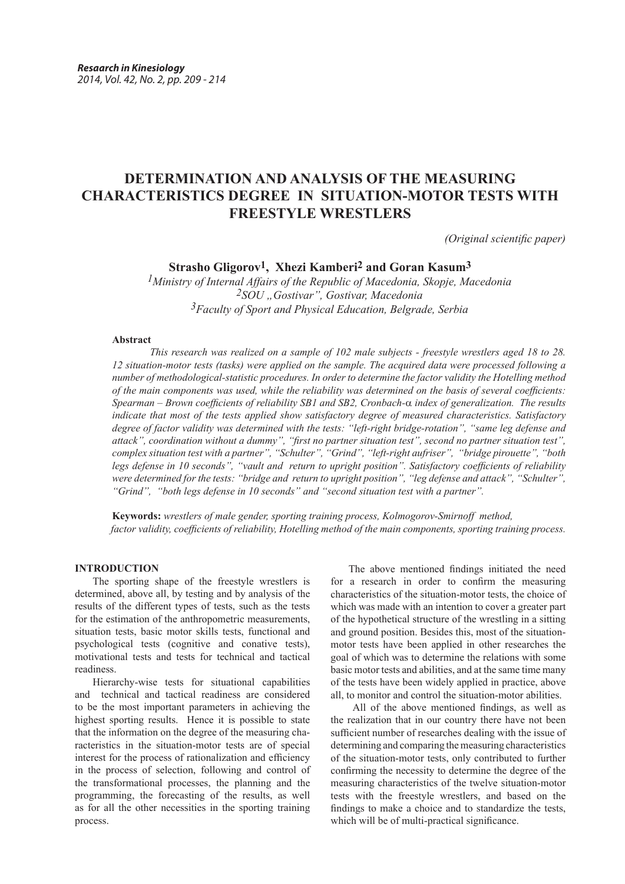# **DETERMINATION AND ANALYSIS OF THE MEASURING CHARACTERISTICS DEGREE IN SITUATION-MOTOR TESTS WITH FREESTYLE WRESTLERS**

*(Original scientific paper)*

## **Strasho Gligorov1, Xhezi Kamberi2 and Goran Kasum3**

*1Ministry of Internal Affairs of the Republic of Macedonia, Skopje, Macedonia 2SOU "Gostivar", Gostivar, Macedonia 3Faculty of Sport and Physical Education, Belgrade, Serbia*

### **Abstract**

*This research was realized on a sample of 102 male subjects - freestyle wrestlers aged 18 to 28. 12 situation-motor tests (tasks) were applied on the sample. The acquired data were processed following a number of methodological-statistic procedures. In order to determine the factor validity the Hotelling method of the main components was used, while the reliability was determined on the basis of several coefficients: Spearman – Brown coefficients of reliability SB1 and SB2, Cronbach-*a *index of generalization. The results indicate that most of the tests applied show satisfactory degree of measured characteristics. Satisfactory degree of factor validity was determined with the tests: "left-right bridge-rotation", "same leg defense and attack", coordination without a dummy", "first no partner situation test", second no partner situation test", complex situation test with a partner", "Schulter", "Grind", "left-right aufriser", "bridge pirouette", "both legs defense in 10 seconds", "vault and return to upright position". Satisfactory coefficients of reliability were determined for the tests: "bridge and return to upright position", "leg defense and attack", "Schulter", "Grind", "both legs defense in 10 seconds" and "second situation test with a partner".* 

 **Keywords:** *wrestlers of male gender, sporting training process, Kolmogorov-Smirnoff method, factor validity, coefficients of reliability, Hotelling method of the main components, sporting training process.*

### **INTRODUCTION**

The sporting shape of the freestyle wrestlers is determined, above all, by testing and by analysis of the results of the different types of tests, such as the tests for the estimation of the anthropometric measurements, situation tests, basic motor skills tests, functional and psychological tests (cognitive and conative tests), motivational tests and tests for technical and tactical readiness.

Hierarchy-wise tests for situational capabilities and technical and tactical readiness are considered to be the most important parameters in achieving the highest sporting results. Hence it is possible to state that the information on the degree of the measuring characteristics in the situation-motor tests are of special interest for the process of rationalization and efficiency in the process of selection, following and control of the transformational processes, the planning and the programming, the forecasting of the results, as well as for all the other necessities in the sporting training process.

The above mentioned findings initiated the need for a research in order to confirm the measuring characteristics of the situation-motor tests, the choice of which was made with an intention to cover a greater part of the hypothetical structure of the wrestling in a sitting and ground position. Besides this, most of the situationmotor tests have been applied in other researches the goal of which was to determine the relations with some basic motor tests and abilities, and at the same time many of the tests have been widely applied in practice, above all, to monitor and control the situation-motor abilities.

 All of the above mentioned findings, as well as the realization that in our country there have not been sufficient number of researches dealing with the issue of determining and comparing the measuring characteristics of the situation-motor tests, only contributed to further confirming the necessity to determine the degree of the measuring characteristics of the twelve situation-motor tests with the freestyle wrestlers, and based on the findings to make a choice and to standardize the tests, which will be of multi-practical significance.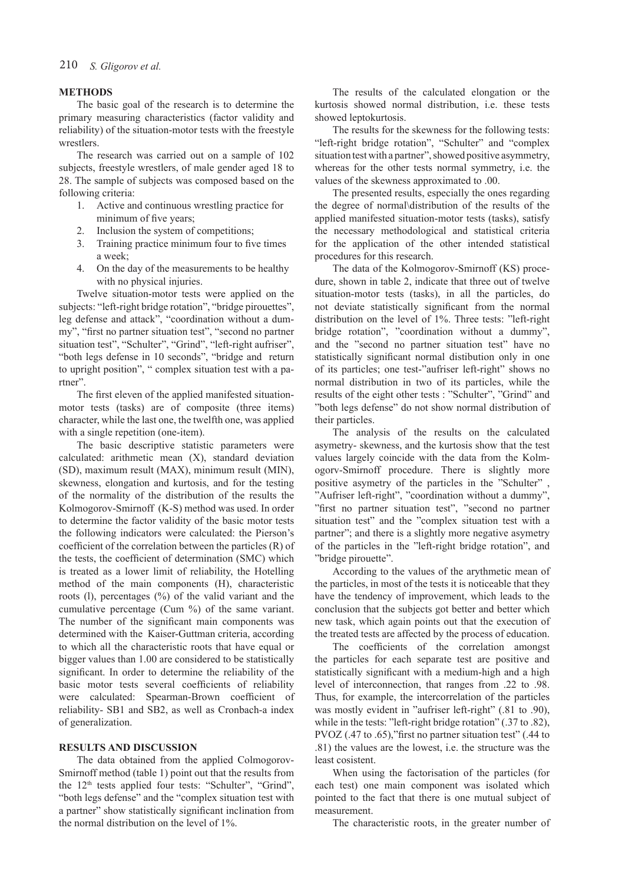#### **METHODS**

The basic goal of the research is to determine the primary measuring characteristics (factor validity and reliability) of the situation-motor tests with the freestyle wrestlers.

The research was carried out on a sample of 102 subjects, freestyle wrestlers, of male gender aged 18 to 28. The sample of subjects was composed based on the following criteria:

- 1. Active and continuous wrestling practice for minimum of five years;
- 2. Inclusion the system of competitions;
- 3. Training practice minimum four to five times a week;
- 4. On the day of the measurements to be healthy with no physical injuries.

Twelve situation-motor tests were applied on the subjects: "left-right bridge rotation", "bridge pirouettes", leg defense and attack", "coordination without a dummy", "first no partner situation test", "second no partner situation test", "Schulter", "Grind", "left-right aufriser", "both legs defense in 10 seconds", "bridge and return to upright position", " complex situation test with a partner".

The first eleven of the applied manifested situationmotor tests (tasks) are of composite (three items) character, while the last one, the twelfth one, was applied with a single repetition (one-item).

The basic descriptive statistic parameters were calculated: arithmetic mean (X), standard deviation (SD), maximum result (MAX), minimum result (MIN), skewness, elongation and kurtosis, and for the testing of the normality of the distribution of the results the Kolmogorov-Smirnoff (K-S) method was used. In order to determine the factor validity of the basic motor tests the following indicators were calculated: the Pierson's coefficient of the correlation between the particles (R) of the tests, the coefficient of determination (SMC) which is treated as a lower limit of reliability, the Hotelling method of the main components (H), characteristic roots (l), percentages (%) of the valid variant and the cumulative percentage (Cum %) of the same variant. The number of the significant main components was determined with the Kaiser-Guttman criteria, according to which all the characteristic roots that have equal or bigger values than 1.00 are considered to be statistically significant. In order to determine the reliability of the basic motor tests several coefficients of reliability were calculated: Spearman-Brown coefficient of reliability- SB1 and SB2, as well as Cronbach-a index of generalization.

#### **RESULTS AND DISCUSSION**

The data obtained from the applied Colmogorov-Smirnoff method (table 1) point out that the results from the 12th tests applied four tests: "Schulter", "Grind", "both legs defense" and the "complex situation test with a partner" show statistically significant inclination from the normal distribution on the level of 1%.

The results of the calculated elongation or the kurtosis showed normal distribution, i.e. these tests showed leptokurtosis.

The results for the skewness for the following tests: "left-right bridge rotation", "Schulter" and "complex situation test with a partner", showed positive asymmetry, whereas for the other tests normal symmetry, i.e. the values of the skewness approximated to .00.

The presented results, especially the ones regarding the degree of normal\distribution of the results of the applied manifested situation-motor tests (tasks), satisfy the necessary methodological and statistical criteria for the application of the other intended statistical procedures for this research.

The data of the Kolmogorov-Smirnoff (KS) procedure, shown in table 2, indicate that three out of twelve situation-motor tests (tasks), in all the particles, do not deviate statistically significant from the normal distribution on the level of 1%. Three tests: "left-right bridge rotation", "coordination without a dummy", and the "second no partner situation test" have no statistically significant normal distibution only in one of its particles; one test-"aufriser left-right" shows no normal distribution in two of its particles, while the results of the eight other tests : "Schulter", "Grind" and "both legs defense" do not show normal distribution of their particles.

The analysis of the results on the calculated asymetry- skewness, and the kurtosis show that the test values largely coincide with the data from the Kolmogorv-Smirnoff procedure. There is slightly more positive asymetry of the particles in the "Schulter" , "Aufriser left-right", "coordination without a dummy", "first no partner situation test", "second no partner situation test" and the "complex situation test with a partner"; and there is a slightly more negative asymetry of the particles in the "left-right bridge rotation", and "bridge pirouette".

According to the values of the arythmetic mean of the particles, in most of the tests it is noticeable that they have the tendency of improvement, which leads to the conclusion that the subjects got better and better which new task, which again points out that the execution of the treated tests are affected by the process of education.

The coefficients of the correlation amongst the particles for each separate test are positive and statistically significant with a medium-high and a high level of interconnection, that ranges from .22 to .98. Thus, for example, the intercorrelation of the particles was mostly evident in "aufriser left-right" (.81 to .90), while in the tests: "left-right bridge rotation" (.37 to .82), PVOZ (.47 to .65),"first no partner situation test" (.44 to .81) the values are the lowest, i.e. the structure was the least cosistent.

When using the factorisation of the particles (for each test) one main component was isolated which pointed to the fact that there is one mutual subject of measurement.

The characteristic roots, in the greater number of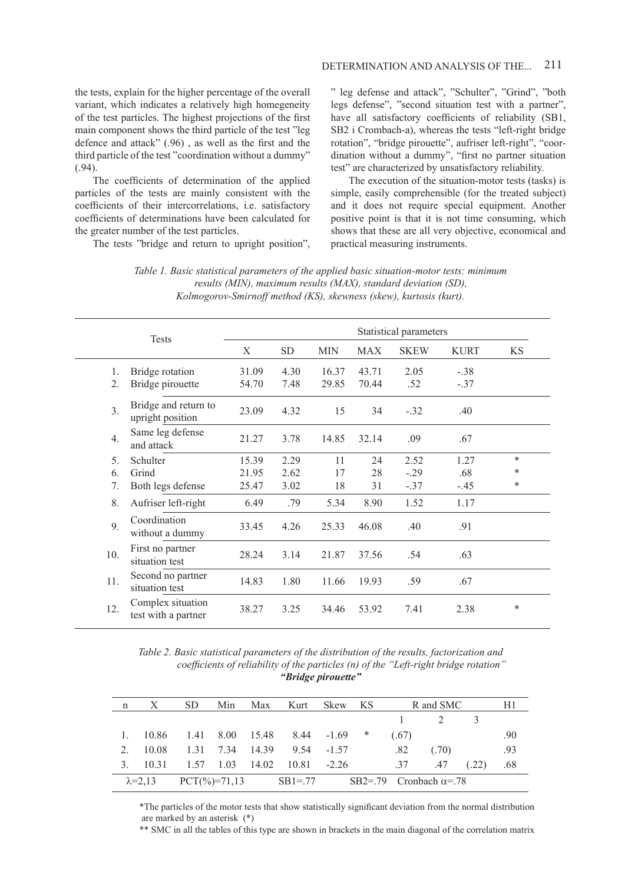the tests, explain for the higher percentage of the overall variant, which indicates a relatively high homegeneity of the test particles. The highest projections of the first main component shows the third particle of the test "leg defence and attack" (.96) , as well as the first and the third particle of the test "coordination without a dummy" (.94).

The coefficients of determination of the applied particles of the tests are mainly consistent with the coefficients of their intercorrelations, i.e. satisfactory coefficients of determinations have been calculated for the greater number of the test particles.

The tests "bridge and return to upright position",

#### 211 DETERMINATION AND ANALYSIS OF THE...

" leg defense and attack", "Schulter", "Grind", "both legs defense", "second situation test with a partner", have all satisfactory coefficients of reliability (SB1, SB2 i Crombach-a), whereas the tests "left-right bridge rotation", "bridge pirouette", aufriser left-right", "coordination without a dummy", "first no partner situation test" are characterized by unsatisfactory reliability.

The execution of the situation-motor tests (tasks) is simple, easily comprehensible (for the treated subject) and it does not require special equipment. Another positive point is that it is not time consuming, which shows that these are all very objective, economical and practical measuring instruments.

| Table 1. Basic statistical parameters of the applied basic situation-motor tests: minimum |  |
|-------------------------------------------------------------------------------------------|--|
| results (MIN), maximum results (MAX), standard deviation (SD),                            |  |
| Kolmogorov-Smirnoff method (KS), skewness (skew), kurtosis (kurt).                        |  |

|                  | <b>Tests</b>                             | Statistical parameters |           |            |            |             |             |           |  |  |
|------------------|------------------------------------------|------------------------|-----------|------------|------------|-------------|-------------|-----------|--|--|
|                  |                                          | X                      | <b>SD</b> | <b>MIN</b> | <b>MAX</b> | <b>SKEW</b> | <b>KURT</b> | <b>KS</b> |  |  |
| 1.               | Bridge rotation                          | 31.09                  | 4.30      | 16.37      | 43.71      | 2.05        | $-.38$      |           |  |  |
| 2.               | Bridge pirouette                         | 54.70                  | 7.48      | 29.85      | 70.44      | .52         | $-.37$      |           |  |  |
| $\overline{3}$ . | Bridge and return to<br>upright position | 23.09                  | 4.32      | 15         | 34         | $-.32$      | .40         |           |  |  |
| $\overline{4}$ . | Same leg defense<br>and attack           | 21.27                  | 3.78      | 14.85      | 32.14      | .09         | .67         |           |  |  |
| 5.               | Schulter                                 | 15.39                  | 2.29      | 11         | 24         | 2.52        | 1.27        | $\ast$    |  |  |
| 6                | Grind                                    | 21.95                  | 2.62      | 17         | 28         | $-.29$      | .68         | *         |  |  |
| 7.               | Both legs defense                        | 25.47                  | 3.02      | 18         | 31         | $-.37$      | $-.45$      | *         |  |  |
| 8.               | Aufriser left-right                      | 6.49                   | .79       | 5.34       | 8.90       | 1.52        | 1.17        |           |  |  |
| 9.               | Coordination<br>without a dummy          | 33.45                  | 4.26      | 25.33      | 46.08      | .40         | .91         |           |  |  |
| 10.              | First no partner<br>situation test       | 28.24                  | 3.14      | 21.87      | 37.56      | .54         | .63         |           |  |  |
| 11.              | Second no partner<br>situation test      | 14.83                  | 1.80      | 11.66      | 19.93      | .59         | .67         |           |  |  |
| 12.              | Complex situation<br>test with a partner | 38.27                  | 3.25      | 34.46      | 53.92      | 7.41        | 2.38        | $\ast$    |  |  |

*Table 2. Basic statistical parameters of the distribution of the results, factorization аnd coefficients of reliability of the particles (n) of the "Left-right bridge rotation" "Bridge pirouette"*

| n | X | SD. |  | Min Max Kurt Skew KS                                                  |  |       | R and SMC                                  | H1  |
|---|---|-----|--|-----------------------------------------------------------------------|--|-------|--------------------------------------------|-----|
|   |   |     |  |                                                                       |  |       | $\begin{array}{ccc} 1 & 2 & 3 \end{array}$ |     |
|   |   |     |  | 1. $10.86$ 1.41 8.00 15.48 8.44 -1.69 *                               |  | (.67) |                                            | .90 |
|   |   |     |  | 2. 10.08 1.31 7.34 14.39 9.54 -1.57                                   |  | .82   | (.70)                                      | .93 |
|   |   |     |  | 3. 10.31 1.57 1.03 14.02 10.81 -2.26 37 .47 (.22)                     |  |       |                                            | .68 |
|   |   |     |  | $\lambda = 2.13$ PCT(%)=71.13 SB1=.77 SB2=.79 Cronbach $\alpha = .78$ |  |       |                                            |     |

\*The particles of the motor tests that show statistically significant deviation from the normal distribution are marked by an asterisk (\*)

\*\* SMC in all the tables of this type are shown in brackets in the main diagonal of the correlation matrix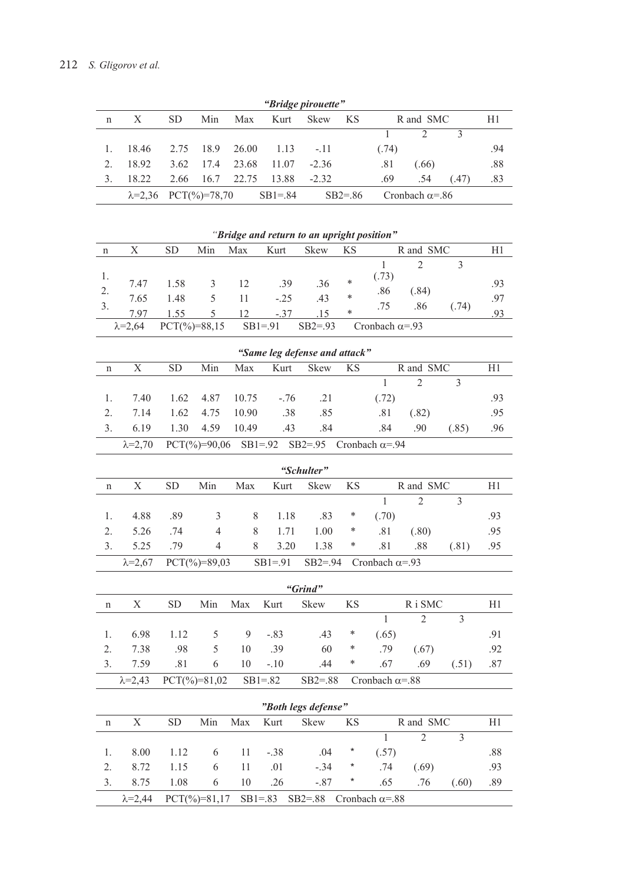| "Bridge pirouette" |                               |           |      |            |           |         |            |                 |                        |      |     |  |
|--------------------|-------------------------------|-----------|------|------------|-----------|---------|------------|-----------------|------------------------|------|-----|--|
| n                  | X                             | <b>SD</b> | Min  | Max        | Kurt      | Skew    | KS         | R and SMC<br>H1 |                        |      |     |  |
|                    |                               |           |      |            |           |         |            |                 |                        |      |     |  |
|                    | 18.46                         | 2.75      |      | 18.9 26.00 | 1.13      | $-.11$  |            | (.74)           |                        |      | .94 |  |
| $2^{\circ}$        | 18.92                         | 3.62      | 17.4 | 23.68      | 11.07     | $-2.36$ |            | .81             | (.66)                  |      | .88 |  |
|                    | 18.22                         | 2.66      | 16.7 | 22.75      | 13.88     | $-2.32$ |            | .69             | .54                    | (47) | .83 |  |
|                    | $\lambda = 2.36$ PCT(%)=78,70 |           |      |            | $SB1=.84$ |         | $SB2 = 86$ |                 | Cronbach $\alpha$ =.86 |      |     |  |

|                               |                                                                                             |                          |                          |       |             | "Bridge and return to an upright position" |           |                        |                |                |     |
|-------------------------------|---------------------------------------------------------------------------------------------|--------------------------|--------------------------|-------|-------------|--------------------------------------------|-----------|------------------------|----------------|----------------|-----|
| $\mathbf n$                   | $\boldsymbol{\mathrm{X}}$                                                                   | <b>SD</b>                | Min                      | Max   | Kurt        | Skew                                       | <b>KS</b> |                        | R and SMC      |                | H1  |
|                               |                                                                                             |                          |                          |       |             |                                            |           | $\mathbf{1}$           | $\overline{2}$ | $\overline{3}$ |     |
| 1.                            | 7.47                                                                                        | 1.58                     | 3                        | 12    | .39         | .36                                        | $\ast$    | (.73)                  |                |                | .93 |
| 2.                            | 7.65                                                                                        | 1.48                     | 5                        | 11    | $-.25$      | .43                                        | $\ast$    | .86                    | (.84)          |                | .97 |
| 3.                            | 7.97                                                                                        | 1.55                     | 5                        | 12    | $-.37$      | .15                                        | $\ast$    | .75                    | .86            | (.74)          | .93 |
|                               | $\lambda = 2,64$                                                                            | $PCT(\frac{9}{6})=88,15$ |                          |       | $SB1=.91$   | $SB2 = .93$                                |           | Cronbach $\alpha = 93$ |                |                |     |
| "Same leg defense and attack" |                                                                                             |                          |                          |       |             |                                            |           |                        |                |                |     |
| n                             | $\mathbf X$                                                                                 | <b>SD</b>                | Min                      | Max   | Kurt        | Skew                                       | <b>KS</b> |                        | R and SMC      |                | H1  |
|                               |                                                                                             |                          |                          |       |             |                                            |           | $\mathbf{1}$           | $\overline{2}$ | $\overline{3}$ |     |
| 1.                            | 7.40                                                                                        | 1.62                     | 4.87                     | 10.75 | $-.76$      | .21                                        |           | (.72)                  |                |                | .93 |
| 2.                            | 7.14                                                                                        | 1.62                     | 4.75                     | 10.90 | .38         | .85                                        |           | .81                    | (.82)          |                | .95 |
| 3.                            | 6.19                                                                                        | 1.30                     | 4.59                     | 10.49 | .43         | .84                                        |           | .84                    | .90            | (.85)          | .96 |
|                               | $SB2 = .95$<br>$PCT(\%)=90,06$<br>$SB1 = .92$<br>Cronbach $\alpha = 94$<br>$\lambda = 2,70$ |                          |                          |       |             |                                            |           |                        |                |                |     |
| "Schulter"                    |                                                                                             |                          |                          |       |             |                                            |           |                        |                |                |     |
| $\mathbf n$                   | $\mathbf X$                                                                                 | <b>SD</b>                | Min                      | Max   | Kurt        | Skew                                       | <b>KS</b> |                        | R and SMC      |                | H1  |
|                               |                                                                                             |                          |                          |       |             |                                            |           | $\mathbf{1}$           | $\overline{2}$ | $\overline{3}$ |     |
| 1.                            | 4.88                                                                                        | .89                      | 3                        | $8\,$ | 1.18        | .83                                        | $\ast$    | (.70)                  |                |                | .93 |
| $\overline{2}$ .              | 5.26                                                                                        | .74                      | 4                        | $8\,$ | 1.71        | 1.00                                       | ∗         | .81                    | (.80)          |                | .95 |
| 3.                            | 5.25                                                                                        | .79                      | $\overline{4}$           | 8     | 3.20        | 1.38                                       | *         | .81                    | .88            | (.81)          | .95 |
|                               | $\lambda = 2,67$                                                                            |                          | $PCT(\frac{9}{6})=89,03$ |       | $SB1=.91$   | $SB2 = .94$                                |           | Cronbach $\alpha$ =.93 |                |                |     |
|                               |                                                                                             |                          |                          |       |             | "Grind"                                    |           |                        |                |                |     |
| n                             | $\mathbf X$                                                                                 | <b>SD</b>                | Min                      | Max   | Kurt        | Skew                                       | <b>KS</b> |                        | R i SMC        |                | H1  |
|                               |                                                                                             |                          |                          |       |             |                                            |           | $\mathbf{1}$           | $\overline{2}$ | $\overline{3}$ |     |
| 1.                            | 6.98                                                                                        | 1.12                     | 5                        | 9     | $-.83$      | .43                                        | ∗         | (.65)                  |                |                | .91 |
| 2.                            | 7.38                                                                                        | .98                      | 5                        | 10    | .39         | 60                                         | *         | .79                    | (.67)          |                | .92 |
| 3.                            | 7.59                                                                                        | .81                      | 6                        | 10    | $-.10$      | .44                                        | *         | .67                    | .69            | (.51)          | .87 |
|                               | $\lambda = 2,43$                                                                            |                          | $PCT(\frac{9}{6})=81,02$ |       | $SB1 = .82$ | $SB2 = .88$                                |           | Cronbach $\alpha = 88$ |                |                |     |
|                               |                                                                                             |                          |                          |       |             | "Both legs defense"                        |           |                        |                |                |     |
| n                             | $\mathbf X$                                                                                 | <b>SD</b>                | Min                      | Max   | Kurt        | Skew                                       | KS        |                        | R and SMC      |                | H1  |
|                               |                                                                                             |                          |                          |       |             |                                            |           | $\overline{1}$         | $\overline{2}$ | $\overline{3}$ |     |
| 1.                            | 8.00                                                                                        | 1.12                     | 6                        | 11    | $-.38$      | .04                                        | *         | (.57)                  |                |                | .88 |

|  |  |  | $\lambda = 2,44$ PCT(%)=81,17 SB1=.83 SB2=.88 Cronbach $\alpha = .88$ |  |  |  |
|--|--|--|-----------------------------------------------------------------------|--|--|--|
|  |  |  | 3. 8.75 1.08 6 10 .26 -.87 * .65 .76 (.60) .89                        |  |  |  |
|  |  |  | 2. 8.72 1.15 6 11 .01 -.34 * .74 (.69) .93                            |  |  |  |
|  |  |  |                                                                       |  |  |  |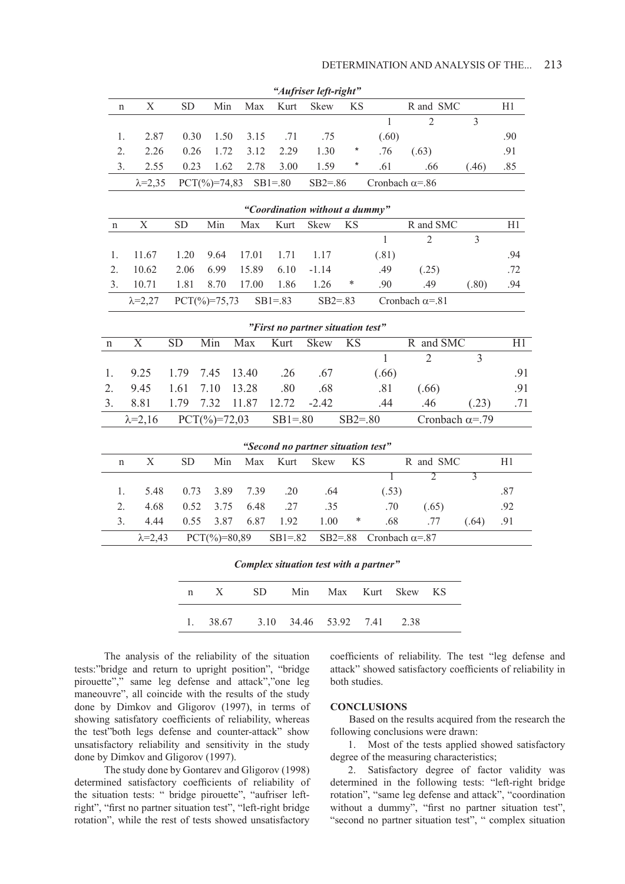|                                |                   |           |                          |       |                                    | "Aufriser left-right" |             |                        |                        |                |     |
|--------------------------------|-------------------|-----------|--------------------------|-------|------------------------------------|-----------------------|-------------|------------------------|------------------------|----------------|-----|
| n                              | X                 | <b>SD</b> | Min                      | Max   | Kurt                               | Skew                  | <b>KS</b>   |                        | R and SMC              |                | H1  |
|                                |                   |           |                          |       |                                    |                       |             | $\mathbf{1}$           | $\overline{2}$         | $\overline{3}$ |     |
| 1.                             | 2.87              | 0.30      | 1.50                     | 3.15  | .71                                | .75                   |             | (.60)                  |                        |                | .90 |
| 2.                             | 2.26              | 0.26      | 1.72                     | 3.12  | 2.29                               | 1.30                  | $\ast$      | .76                    | (.63)                  |                | .91 |
| 3.                             | 2.55              | 0.23      | 1.62                     | 2.78  | 3.00                               | 1.59                  | *           | .61                    | .66                    | (.46)          | .85 |
|                                | $\lambda = 2,35$  |           | $PCT(\frac{9}{6})=74,83$ |       | $SB1=.80$                          | $SB2 = .86$           |             | Cronbach $\alpha = 86$ |                        |                |     |
| "Coordination without a dummy" |                   |           |                          |       |                                    |                       |             |                        |                        |                |     |
| $\mathbf n$                    | $\mathbf X$       | <b>SD</b> | Min                      | Max   | Kurt                               | <b>Skew</b>           | <b>KS</b>   |                        | R and SMC              |                | H1  |
|                                |                   |           |                          |       |                                    |                       |             | 1                      | $\overline{2}$         | $\overline{3}$ |     |
| 1.                             | 11.67             | 1.20      | 9.64                     | 17.01 | 1.71                               | 1.17                  |             | (.81)                  |                        |                | .94 |
| 2.                             | 10.62             | 2.06      | 6.99                     | 15.89 | 6.10                               | $-1.14$               |             | .49                    | (.25)                  |                | .72 |
| 3.                             | 10.71             | 1.81      | 8.70                     | 17.00 | 1.86                               | 1.26                  | ∗           | .90                    | .49                    | (.80)          | .94 |
|                                | $\lambda = 2,27$  |           | $PCT(\frac{9}{6})=75,73$ |       | $SB1 = .83$                        | $SB2 = .83$           |             |                        | Cronbach $\alpha = 81$ |                |     |
|                                |                   |           |                          |       | "First no partner situation test"  |                       |             |                        |                        |                |     |
| n                              | X                 | <b>SD</b> | Min                      | Max   | Kurt                               | Skew                  | <b>KS</b>   |                        | R and SMC              |                | H1  |
|                                |                   |           |                          |       |                                    |                       |             | $\mathbf{1}$           | $\overline{2}$         | $\overline{3}$ |     |
| 1.                             | 9.25              | 1.79      | 7.45                     | 13.40 | .26                                | .67                   |             | (.66)                  |                        |                | .91 |
| 2.                             | 9.45              | 1.61      | 7.10                     | 13.28 | .80                                | .68                   |             | .81                    | (.66)                  |                | .91 |
| 3.                             | 8.81              | 1.79      | 7.32                     | 11.87 | 12.72                              | $-2.42$               |             | .44                    | .46                    | (.23)          | .71 |
|                                | $\lambda = 2, 16$ |           | $PCT(\frac{9}{6})=72,03$ |       | $SB1 = .80$                        |                       | $SB2 = .80$ |                        | Cronbach $\alpha$ =.79 |                |     |
|                                |                   |           |                          |       | "Second no partner situation test" |                       |             |                        |                        |                |     |
| n                              | $\mathbf X$       | <b>SD</b> | Min                      | Max   | Kurt                               | Skew                  | <b>KS</b>   |                        | R and SMC              |                | H1  |
|                                |                   |           |                          |       |                                    |                       |             | 1                      | $\overline{2}$         | $\overline{3}$ |     |
| 1.                             | 5.48              | 0.73      | 3.89                     | 7.39  | .20                                | .64                   |             | (.53)                  |                        |                | .87 |
| 2.                             | 4.68              | 0.52      | 3.75                     | 6.48  | .27                                | .35                   |             | .70                    | (.65)                  |                | .92 |
| 3.                             | 4.44              | 0.55      | 3.87                     | 6.87  | 1.92                               | 1.00                  | *           | .68                    | .77                    | (.64)          | .91 |
|                                | $\lambda = 2,43$  |           | $PCT(\%)=80,89$          |       | $SB1 = .82$                        |                       | $SB2 = .88$ | Cronbach $\alpha = 87$ |                        |                |     |

*Complex situation test with a partner"*

| n X SD Min Max Kurt Skew KS                     |  |  |  |
|-------------------------------------------------|--|--|--|
| 1. $38.67$ $3.10$ $34.46$ $53.92$ $7.41$ $2.38$ |  |  |  |

The analysis of the reliability of the situation tests:"bridge and return to upright position", "bridge pirouette"," same leg defense and attack","one leg maneouvre", all coincide with the results of the study done by Dimkov and Gligorov (1997), in terms of showing satisfatory coefficients of reliability, whereas the test"both legs defense and counter-attack" show unsatisfactory reliability and sensitivity in the study done by Dimkov and Gligorov (1997).

The study done by Gontarev and Gligorov (1998) determined satisfactory coefficients of reliability of the situation tests: " bridge pirouette", "aufriser leftright", "first no partner situation test", "left-right bridge rotation", while the rest of tests showed unsatisfactory

coefficients of reliability. The test "leg defense and attack" showed satisfactory coefficients of reliability in both studies.

#### **CONCLUSIONS**

Based on the results acquired from the research the following conclusions were drawn:

1. Most of the tests applied showed satisfactory degree of the measuring characteristics;

2. Satisfactory degree of factor validity was determined in the following tests: "left-right bridge rotation", "same leg defense and attack", "coordination without a dummy", "first no partner situation test", "second no partner situation test", " complex situation